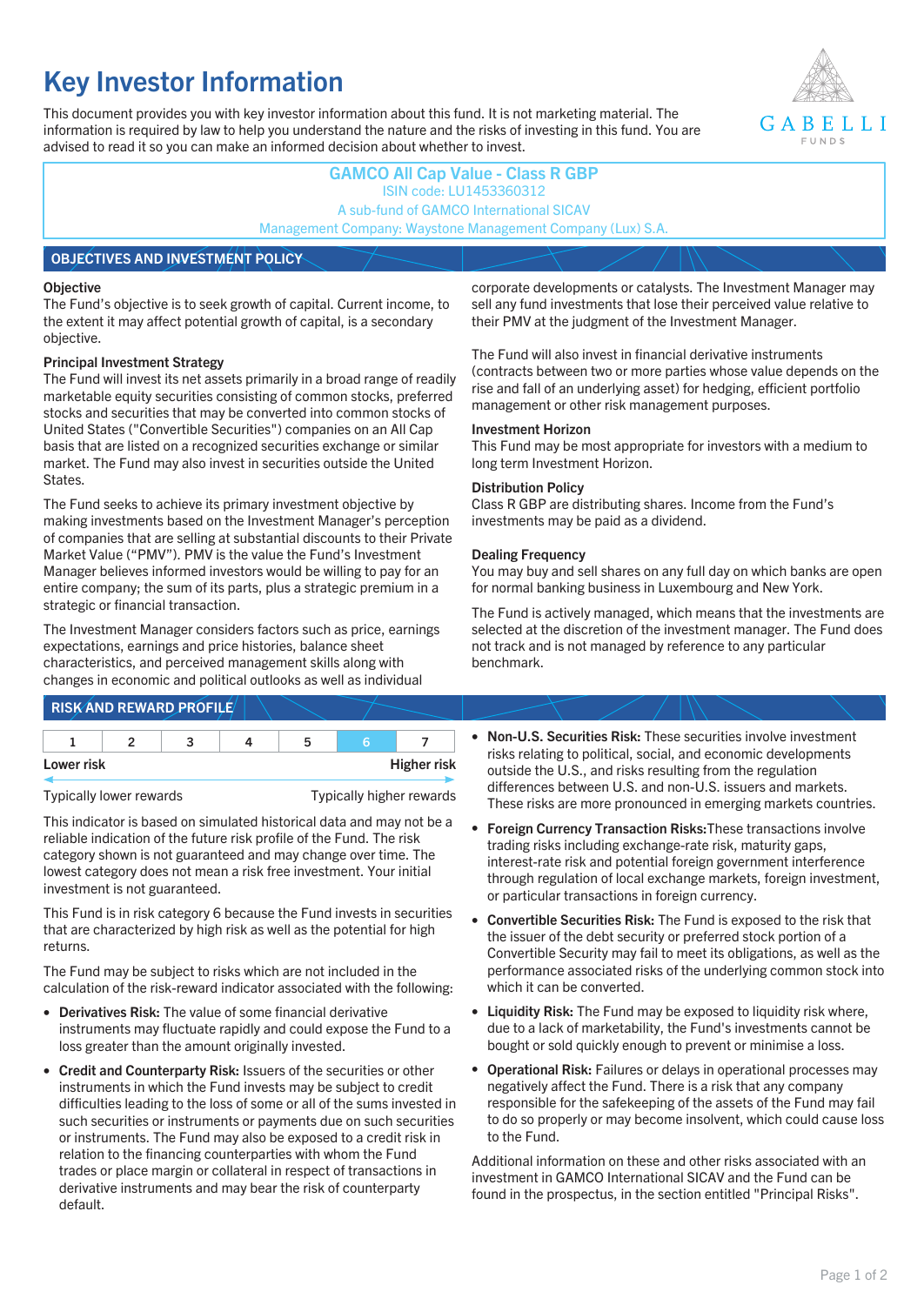# **Key Investor Information**

This document provides you with key investor information about this fund. It is not marketing material. The information is required by law to help you understand the nature and the risks of investing in this fund. You are advised to read it so you can make an informed decision about whether to invest.



# **GAMCO All Cap Value - Class R GBP** ISIN code: LU1453360312 A sub-fund of GAMCO International SICAV Management Company: Waystone Management Company (Lux) S.A. **OBJECTIVES AND INVESTMENT POLICY**

#### **Objective**

The Fund's objective is to seek growth of capital. Current income, to the extent it may affect potential growth of capital, is a secondary objective.

#### **Principal Investment Strategy**

The Fund will invest its net assets primarily in a broad range of readily marketable equity securities consisting of common stocks, preferred stocks and securities that may be converted into common stocks of United States ("Convertible Securities") companies on an All Cap basis that are listed on a recognized securities exchange or similar market. The Fund may also invest in securities outside the United States.

The Fund seeks to achieve its primary investment objective by making investments based on the Investment Manager's perception of companies that are selling at substantial discounts to their Private Market Value ("PMV"). PMV is the value the Fund's Investment Manager believes informed investors would be willing to pay for an entire company; the sum of its parts, plus a strategic premium in a strategic or financial transaction.

The Investment Manager considers factors such as price, earnings expectations, earnings and price histories, balance sheet characteristics, and perceived management skills along with changes in economic and political outlooks as well as individual

## **RISK AND REWARD PROFILE**

| Lower risk |  |  |  |  | <b>Higher risk</b> |
|------------|--|--|--|--|--------------------|

Typically lower rewards Typically higher rewards

This indicator is based on simulated historical data and may not be a reliable indication of the future risk profile of the Fund. The risk category shown is not guaranteed and may change over time. The lowest category does not mean a risk free investment. Your initial investment is not guaranteed.

This Fund is in risk category 6 because the Fund invests in securities that are characterized by high risk as well as the potential for high returns.

The Fund may be subject to risks which are not included in the calculation of the risk-reward indicator associated with the following:

- **Derivatives Risk:** The value of some financial derivative instruments may fluctuate rapidly and could expose the Fund to a loss greater than the amount originally invested.
- **Credit and Counterparty Risk:** Issuers of the securities or other instruments in which the Fund invests may be subject to credit difficulties leading to the loss of some or all of the sums invested in such securities or instruments or payments due on such securities or instruments. The Fund may also be exposed to a credit risk in relation to the financing counterparties with whom the Fund trades or place margin or collateral in respect of transactions in derivative instruments and may bear the risk of counterparty default.

corporate developments or catalysts. The Investment Manager may sell any fund investments that lose their perceived value relative to their PMV at the judgment of the Investment Manager.

The Fund will also invest in financial derivative instruments (contracts between two or more parties whose value depends on the rise and fall of an underlying asset) for hedging, efficient portfolio management or other risk management purposes.

#### **Investment Horizon**

This Fund may be most appropriate for investors with a medium to long term Investment Horizon.

#### **Distribution Policy**

Class R GBP are distributing shares. Income from the Fund's investments may be paid as a dividend.

#### **Dealing Frequency**

You may buy and sell shares on any full day on which banks are open for normal banking business in Luxembourg and New York.

The Fund is actively managed, which means that the investments are selected at the discretion of the investment manager. The Fund does not track and is not managed by reference to any particular benchmark.

- **Non-U.S. Securities Risk:** These securities involve investment risks relating to political, social, and economic developments outside the U.S., and risks resulting from the regulation differences between U.S. and non-U.S. issuers and markets. These risks are more pronounced in emerging markets countries.
- **Foreign Currency Transaction Risks:**These transactions involve trading risks including exchange-rate risk, maturity gaps, interest-rate risk and potential foreign government interference through regulation of local exchange markets, foreign investment, or particular transactions in foreign currency.
- **Convertible Securities Risk:** The Fund is exposed to the risk that the issuer of the debt security or preferred stock portion of a Convertible Security may fail to meet its obligations, as well as the performance associated risks of the underlying common stock into which it can be converted.
- **Liquidity Risk:** The Fund may be exposed to liquidity risk where, due to a lack of marketability, the Fund's investments cannot be bought or sold quickly enough to prevent or minimise a loss.
- **Operational Risk:** Failures or delays in operational processes may negatively affect the Fund. There is a risk that any company responsible for the safekeeping of the assets of the Fund may fail to do so properly or may become insolvent, which could cause loss to the Fund.

Additional information on these and other risks associated with an investment in GAMCO International SICAV and the Fund can be found in the prospectus, in the section entitled "Principal Risks".